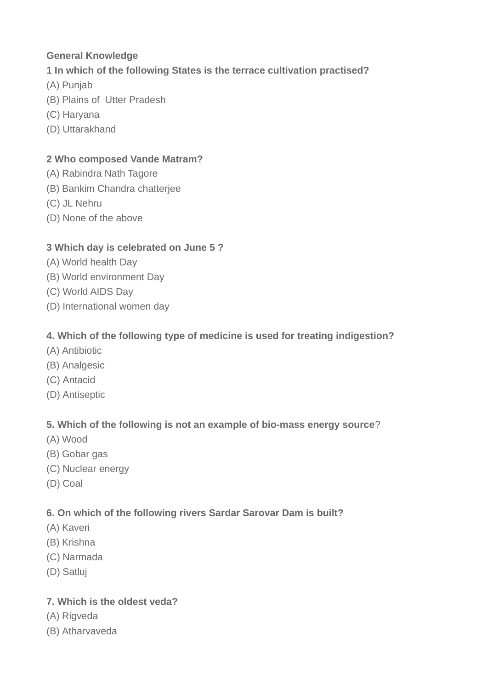# **General Knowledge**

# **1 In which of the following States is the terrace cultivation practised?**

- (A) Punjab
- (B) Plains of Utter Pradesh
- (C) Haryana
- (D) Uttarakhand

#### **2 Who composed Vande Matram?**

- (A) Rabindra Nath Tagore
- (B) Bankim Chandra chatterjee
- (C) JL Nehru
- (D) None of the above

#### **3 Which day is celebrated on June 5 ?**

- (A) World health Day
- (B) World environment Day
- (C) World AIDS Day
- (D) International women day

#### **4. Which of the following type of medicine is used for treating indigestion?**

- (A) Antibiotic
- (B) Analgesic
- (C) Antacid
- (D) Antiseptic

#### **5. Which of the following is not an example of bio-mass energy source**?

- (A) Wood
- (B) Gobar gas
- (C) Nuclear energy
- (D) Coal

#### **6. On which of the following rivers Sardar Sarovar Dam is built?**

- (A) Kaveri
- (B) Krishna
- (C) Narmada
- (D) Satluj

# **7. Which is the oldest veda?**

- (A) Rigveda
- (B) Atharvaveda